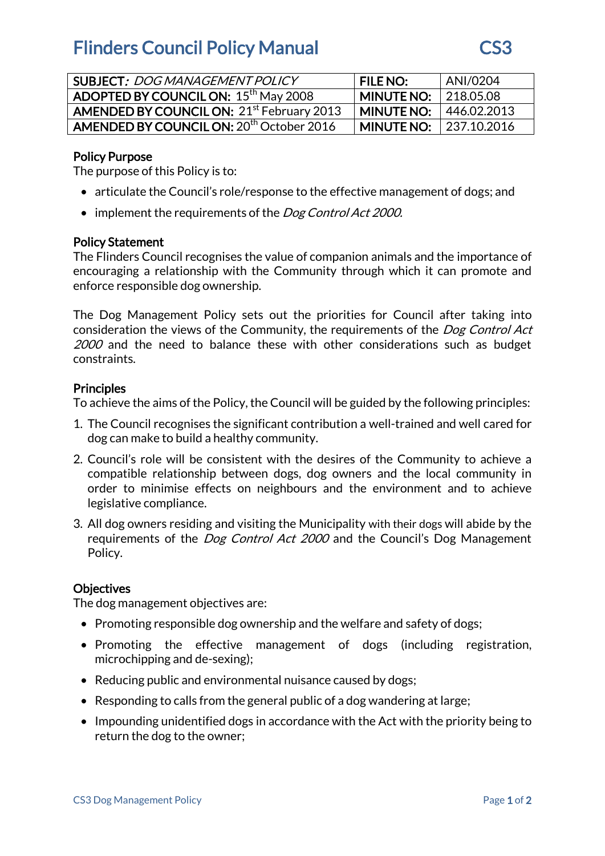## **Flinders Council Policy Manual CS3**



| <b>SUBJECT: DOG MANAGEMENT POLICY</b>                 | <b>FILE NO:</b>                | ANI/0204 |
|-------------------------------------------------------|--------------------------------|----------|
| <b>ADOPTED BY COUNCIL ON: 15th May 2008</b>           | <b>MINUTE NO:</b>   218.05.08  |          |
| AMENDED BY COUNCIL ON: 21 <sup>st</sup> February 2013 | <b>MINUTE NO: 1446.02.2013</b> |          |
| AMENDED BY COUNCIL ON: 20 <sup>th</sup> October 2016  | <b>MINUTE NO: 1237.10.2016</b> |          |

## Policy Purpose

The purpose of this Policy is to:

- articulate the Council's role/response to the effective management of dogs; and
- implement the requirements of the *Dog Control Act 2000.*

#### Policy Statement

The Flinders Council recognises the value of companion animals and the importance of encouraging a relationship with the Community through which it can promote and enforce responsible dog ownership.

The Dog Management Policy sets out the priorities for Council after taking into consideration the views of the Community, the requirements of the *Dog Control Act* 2000 and the need to balance these with other considerations such as budget constraints.

#### **Principles**

To achieve the aims of the Policy, the Council will be guided by the following principles:

- 1. The Council recognises the significant contribution a well-trained and well cared for dog can make to build a healthy community.
- 2. Council's role will be consistent with the desires of the Community to achieve a compatible relationship between dogs, dog owners and the local community in order to minimise effects on neighbours and the environment and to achieve legislative compliance.
- 3. All dog owners residing and visiting the Municipality with their dogs will abide by the requirements of the *Dog Control Act 2000* and the Council's Dog Management Policy.

## **Objectives**

The dog management objectives are:

- Promoting responsible dog ownership and the welfare and safety of dogs;
- Promoting the effective management of dogs (including registration, microchipping and de-sexing);
- Reducing public and environmental nuisance caused by dogs;
- Responding to calls from the general public of a dog wandering at large;
- Impounding unidentified dogs in accordance with the Act with the priority being to return the dog to the owner;